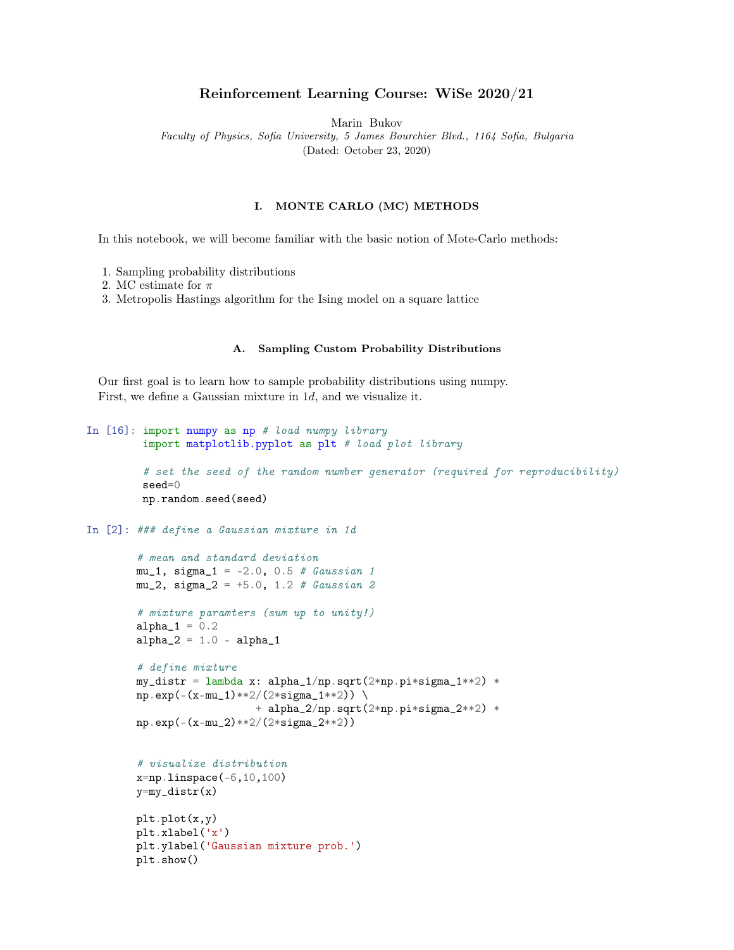# Reinforcement Learning Course: WiSe 2020/21

Marin Bukov

Faculty of Physics, Sofia University, 5 James Bourchier Blvd., 1164 Sofia, Bulgaria (Dated: October 23, 2020)

### I. MONTE CARLO (MC) METHODS

In this notebook, we will become familiar with the basic notion of Mote-Carlo methods:

- 1. Sampling probability distributions
- 2. MC estimate for  $\pi$
- 3. Metropolis Hastings algorithm for the Ising model on a square lattice

## A. Sampling Custom Probability Distributions

Our first goal is to learn how to sample probability distributions using numpy. First, we define a Gaussian mixture in 1d, and we visualize it.

```
In [16]: import numpy as np # load numpy library
         import matplotlib.pyplot as plt # load plot library
         # set the seed of the random number generator (required for reproducibility)
         seed=0
         np.random.seed(seed)
In [2]: ### define a Gaussian mixture in 1d
        # mean and standard deviation
        mu_1, sigma<sub>1</sub> = -2.0, 0.5 # Gaussian 1
        mu_2, sigma<sub>2</sub> = +5.0, 1.2 # Gaussian 2
        # mixture paramters (sum up to unity!)
        alpha_1 = 0.2alpha_2 = 1.0 - alpha_1# define mixture
        my\_distr = lambda x: alpha1(np.sqrt(2*np.pi*sigma_1**2) *
        np.\exp(-(x-mu_1)**2/(2*signa_1**2)) \ \ \ \ \ \+ alpha_2/np.sqrt(2*np.pi*sigma_2**2) *
        np.exp(-(x-mu_2)**2/(2*sigma_2**2))
        # visualize distribution
        x=np.linspace(-6,10,100)
        y=my_distr(x)
        plt.plot(x,y)
        plt.xlabel('x')
        plt.ylabel('Gaussian mixture prob.')
        plt.show()
```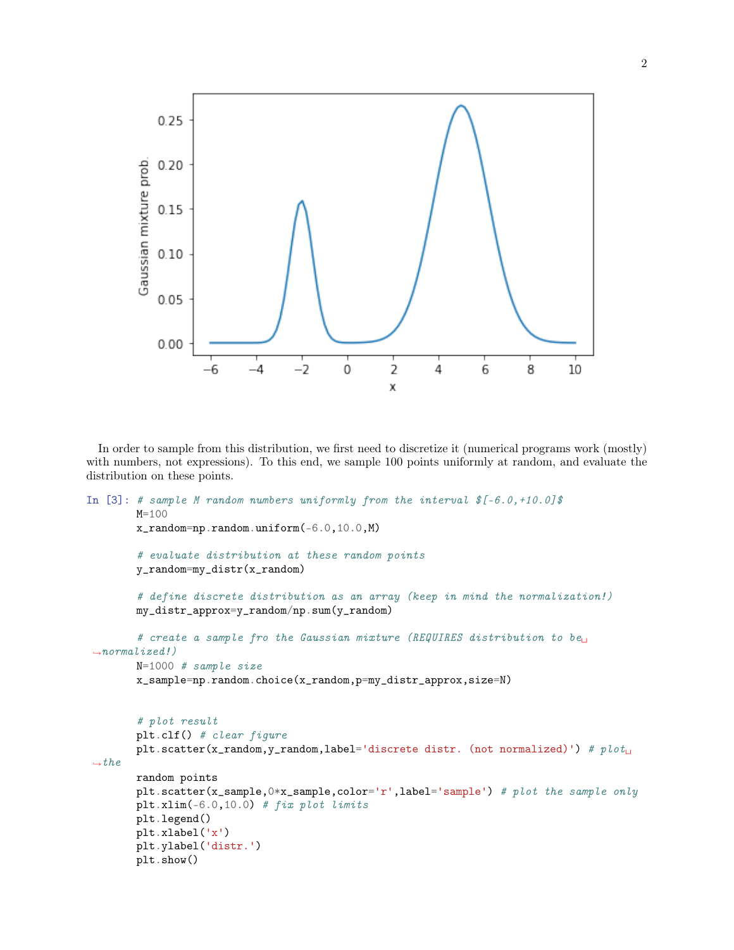

In order to sample from this distribution, we first need to discretize it (numerical programs work (mostly) with numbers, not expressions). To this end, we sample 100 points uniformly at random, and evaluate the distribution on these points.

```
In [3]: # sample M random numbers uniformly from the interval f(-6.0, +10.0)$
        M=100
        x_random=np.random.uniform(-6.0,10.0,M)
        # evaluate distribution at these random points
        y_random=my_distr(x_random)
        # define discrete distribution as an array (keep in mind the normalization!)
        my_distr_approx=y_random/np.sum(y_random)
        # create a sample fro the Gaussian mixture (REQUIRES distribution to be<sub>U</sub>
 \rightarrownormalized!)
        N=1000 # sample size
        x_sample=np.random.choice(x_random,p=my_distr_approx,size=N)
        # plot result
        plt.clf() # clear figure
        plt.scatter(x_random,y_random,label='discrete distr. (not normalized)') # plot_{\text{L}}\rightarrowthe
        random points
        plt.scatter(x_sample,0*x_sample,color='r',label='sample') # plot the sample only
        plt.xml( -6.0, 10.0) # fix plot limits
        plt.legend()
        plt.xlabel('x')
        plt.ylabel('distr.')
        plt.show()
```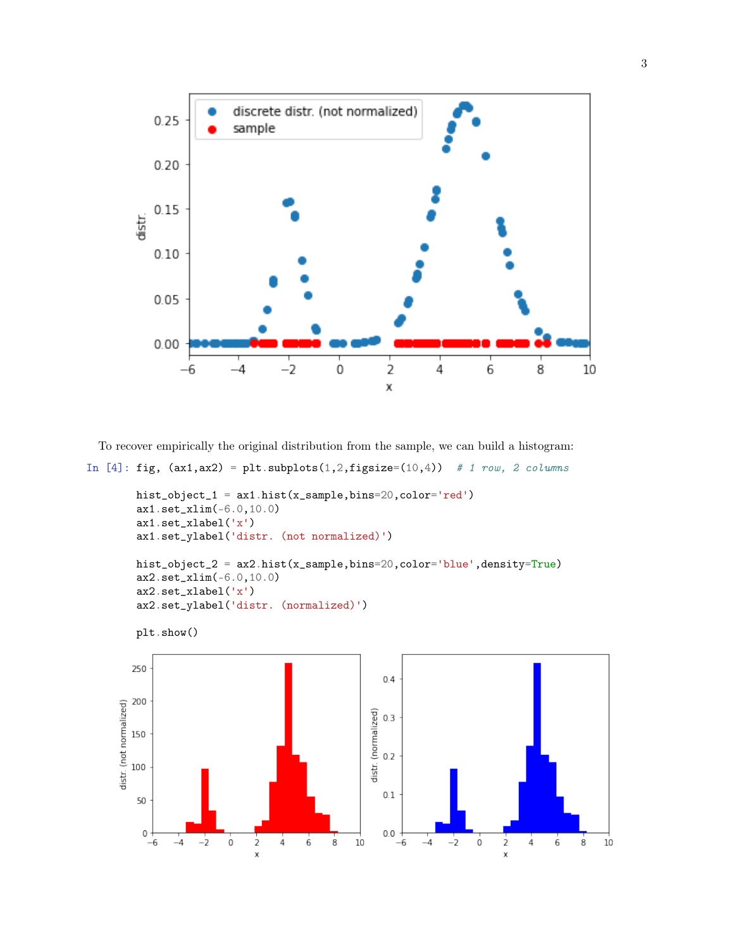

To recover empirically the original distribution from the sample, we can build a histogram:

```
In [4]: fig, (ax1,ax2) = plt.subplots(1,2,figsize=(10,4)) # 1 row, 2 columns
```

```
hist_object_1 = ax1.hist(x_sample,bins=20,color='red')
    ax1.set_xlim(-6.0,10.0)
    ax1.set_xlabel('x')
    ax1.set_ylabel('distr. (not normalized)')
   hist_object_2 = ax2.hist(x_sample,bins=20,color='blue',density=True)
    ax2.set_xlim(-6.0,10.0)
    ax2.set_xlabel('x')
    ax2.set_ylabel('distr. (normalized)')
   plt.show()250
                                                                 0.4200
distr. (not normalized)
                                                              distr. (normalized)<br>\frac{1}{2}<br>\frac{1}{2}<br>\frac{1}{2}150
   100
                                                                 0.150
     0
                                                                  0.0-2\frac{1}{2}\frac{1}{4}\overline{6}\overline{8}10-2\frac{1}{2}\frac{1}{4}\overline{6}-6-4\mathsf{O}\xspace-6-40
                                                                                                                   8
                                                                                                                         10
                                                                                                \overline{\mathsf{x}}
```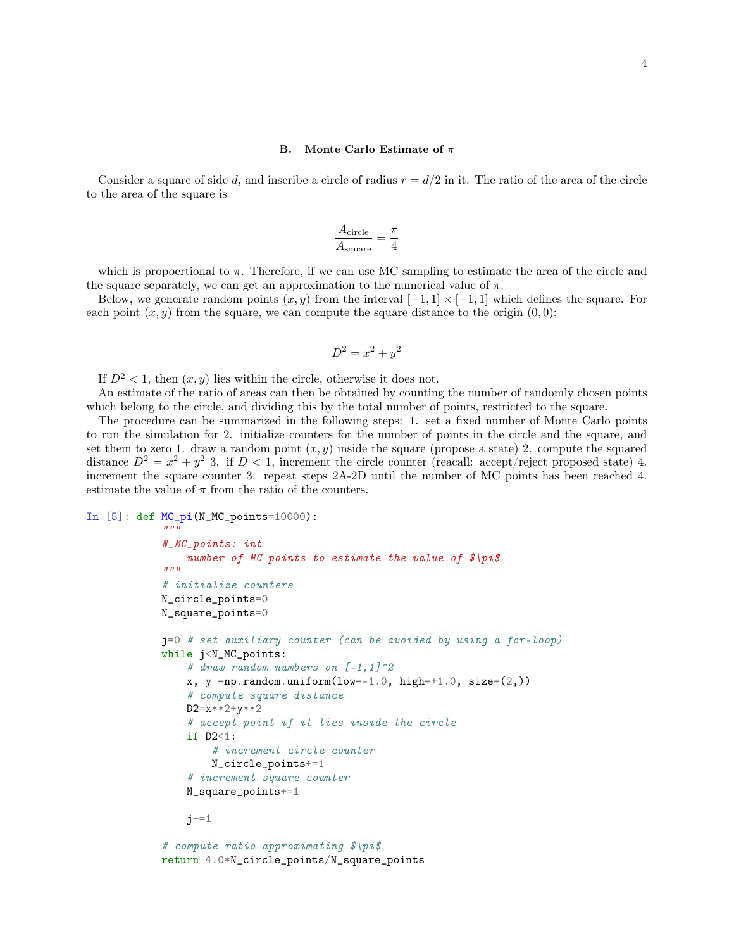#### B. Monte Carlo Estimate of  $\pi$

Consider a square of side d, and inscribe a circle of radius  $r = d/2$  in it. The ratio of the area of the circle to the area of the square is

$$
\frac{A_{\text{circle}}}{A_{\text{square}}} = \frac{\pi}{4}
$$

which is propoertional to  $\pi$ . Therefore, if we can use MC sampling to estimate the area of the circle and the square separately, we can get an approximation to the numerical value of  $\pi$ .

Below, we generate random points  $(x, y)$  from the interval  $[-1, 1] \times [-1, 1]$  which defines the square. For each point  $(x, y)$  from the square, we can compute the square distance to the origin  $(0, 0)$ :

$$
D^2 = x^2 + y^2
$$

If  $D^2 < 1$ , then  $(x, y)$  lies within the circle, otherwise it does not.

An estimate of the ratio of areas can then be obtained by counting the number of randomly chosen points which belong to the circle, and dividing this by the total number of points, restricted to the square.

The procedure can be summarized in the following steps: 1. set a fixed number of Monte Carlo points to run the simulation for 2. initialize counters for the number of points in the circle and the square, and set them to zero 1. draw a random point  $(x, y)$  inside the square (propose a state) 2. compute the squared distance  $D^2 = x^2 + y^2$  3. if  $D < 1$ , increment the circle counter (reacall: accept/reject proposed state) 4. increment the square counter 3. repeat steps 2A-2D until the number of MC points has been reached 4. estimate the value of  $\pi$  from the ratio of the counters.

```
In [5]: def MC_pi(N_MC_points=10000):
```
 $"''"$ 

```
N_MC_points: int
    number of MC points to estimate the value of \hat{\phi} | pi\hat{\phi}"""
# initialize counters
N_circle_points=0
N_square_points=0
j=0 # set auxiliary counter (can be avoided by using a for-loop)
while j<N_MC_points:
    # draw random numbers on [-1,1] \hat{=}2
    x, y = np.random.uniform(low=-1.0, high=+1.0, size=(2.))# compute square distance
    D2=x**2+y**2
    # accept point if it lies inside the circle
    if D2<1:
        # increment circle counter
        N_circle_points+=1
    # increment square counter
    N_square_points+=1
    j+=1# compute ratio approximating $\pi$
```

```
return 4.0*N_circle_points/N_square_points
```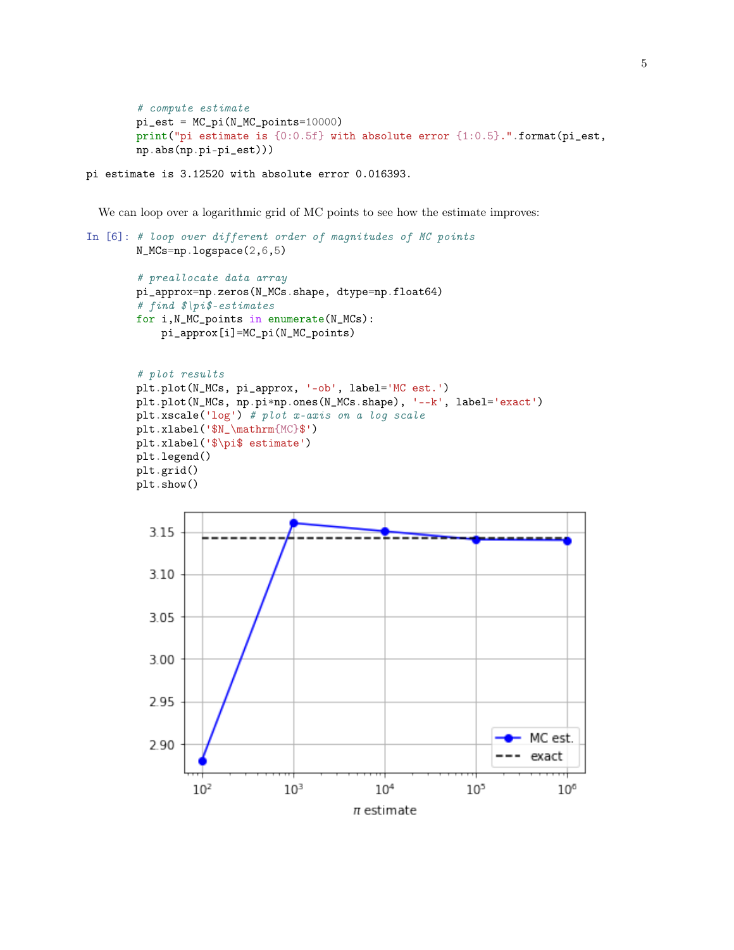```
# compute estimate
pi\_est = MC\_pi(N_MC\_points=10000)print("pi estimate is {0:0.5f} with absolute error {1:0.5}.".format(pi_est,
np.abs(np.pi-pi_est)))
```

```
pi estimate is 3.12520 with absolute error 0.016393.
```
We can loop over a logarithmic grid of MC points to see how the estimate improves:

```
In [6]: # loop over different order of magnitudes of MC points
       N_MCs=np.logspace(2,6,5)
        # preallocate data array
       pi_approx=np.zeros(N_MCs.shape, dtype=np.float64)
        # find $\pi$-estimates
       for i,N_MC_points in enumerate(N_MCs):
           pi_approx[i]=MC_pi(N_MC_points)
        # plot results
       plt.plot(N_MCs, pi_approx, '-ob', label='MC est.')
       plt.plot(N_MCs, np.pi*np.ones(N_MCs.shape), '--k', label='exact')
       plt.xscale('log') # plot x-axis on a log scale
       plt.xlabel('$N_\mathrm{MC}$')
       plt.xlabel('$\pi$ estimate')
       plt.legend()
       plt.grid()
       plt.show()
```
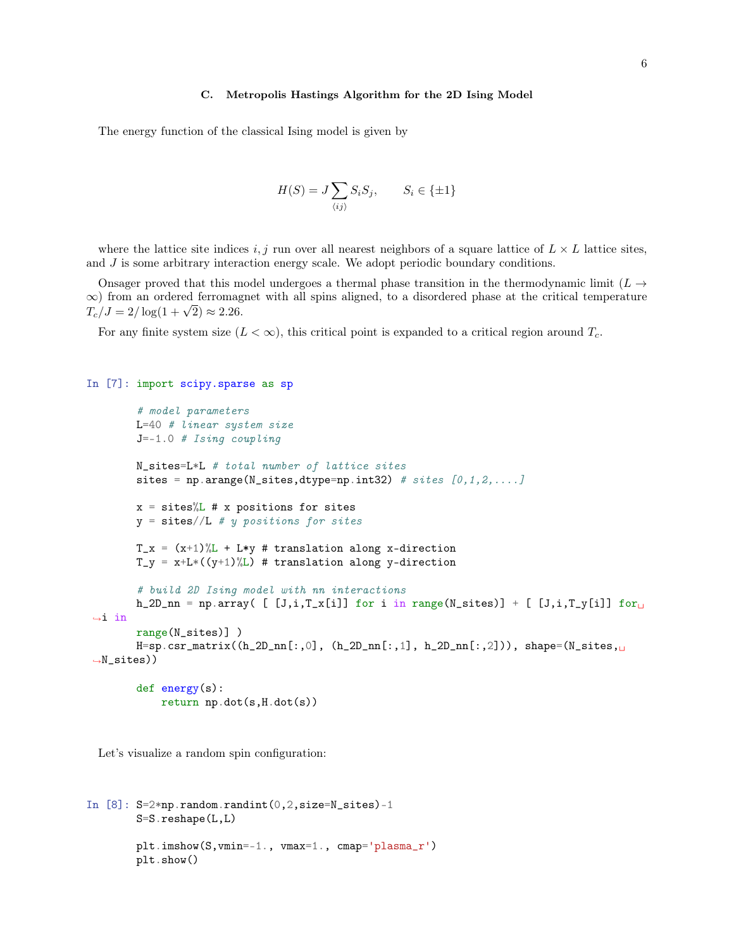#### C. Metropolis Hastings Algorithm for the 2D Ising Model

The energy function of the classical Ising model is given by

$$
H(S) = J \sum_{\langle ij \rangle} S_i S_j, \qquad S_i \in \{\pm 1\}
$$

where the lattice site indices i, j run over all nearest neighbors of a square lattice of  $L \times L$  lattice sites, and  $J$  is some arbitrary interaction energy scale. We adopt periodic boundary conditions.

Onsager proved that this model undergoes a thermal phase transition in the thermodynamic limit ( $L \rightarrow$  $\infty$ ) from an ordered ferromagnet with all spins aligned, to a disordered phase at the critical temperature  $\infty$ ) from an ordered ferromag<br> $T_c/J = 2/\log(1+\sqrt{2}) \approx 2.26.$ 

For any finite system size  $(L < \infty)$ , this critical point is expanded to a critical region around  $T_c$ .

## In [7]: import scipy.sparse as sp

```
# model parameters
       L=40 # linear system size
       J=-1.0 # Ising coupling
       N_sites=L*L # total number of lattice sites
       sites = np.arange(N_sites,dtype=np.int32) # sites [0,1,2,...]x = \text{sites}\%L # x positions for sites
       y = sites//L # y positions for sites
       T_x = (x+1)\%L + L*y # translation along x-direction
       T_y = x + L * ((y+1) \% L) # translation along y-direction
       # build 2D Ising model with nn interactions
       h_2D_nn = np.array( [ [J,i,T_x[i]] for i in range(N_sites)] + [ [J,i,T_y[i]] for
\rightarrowin
       range(N_sites)] )
       H=sp.csr_matrix((h_2D_nn[:,0], (h_2D_nn[:,1], h_2D_nn[:,2])), shape=(N_sites,
\rightarrowN_sites))
       def energy(s):
           return np.dot(s,H.dot(s))
```
Let's visualize a random spin configuration:

```
In [8]: S=2*np.random.randint(0, 2, size=N\_sites) - 1S=S.reshape(L,L)
        plt.imshow(S,vmin=-1., vmax=1., cmap='plasma_r')
        plt.show()
```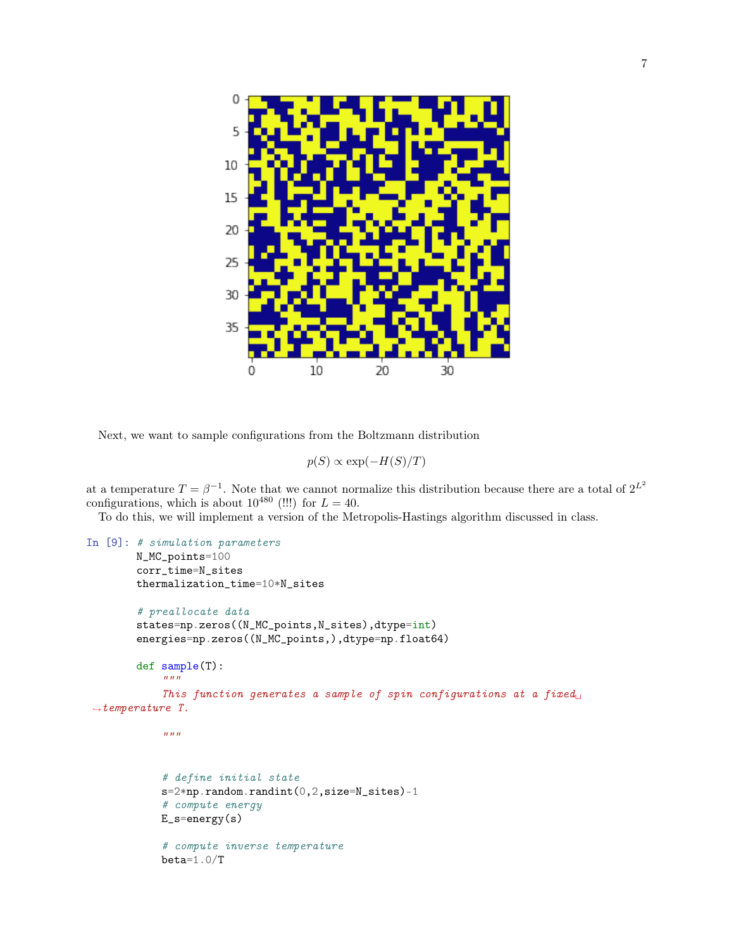

Next, we want to sample configurations from the Boltzmann distribution

$$
p(S) \propto \exp(-H(S)/T)
$$

at a temperature  $T = \beta^{-1}$ . Note that we cannot normalize this distribution because there are a total of  $2^{L^2}$ configurations, which is about  $10^{480}$  (!!!) for  $L = 40$ .

To do this, we will implement a version of the Metropolis-Hastings algorithm discussed in class.

```
In [9]: # simulation parameters
        N_MC_points=100
        corr_time=N_sites
        thermalization_time=10*N_sites
        # preallocate data
        states=np.zeros((N_MC_points,N_sites),dtype=int)
        energies=np.zeros((N_MC_points,),dtype=np.float64)
        def sample(T):
            """
            This function generates a sample of spin configurations at a fixed
 \rightarrowtemperature T.
            "''"# define initial state
            s=2*np.random.randint(0,2,size=N_sites)-1
            # compute energy
            E_s=energy(s)
            # compute inverse temperature
            beta=1.0/T
```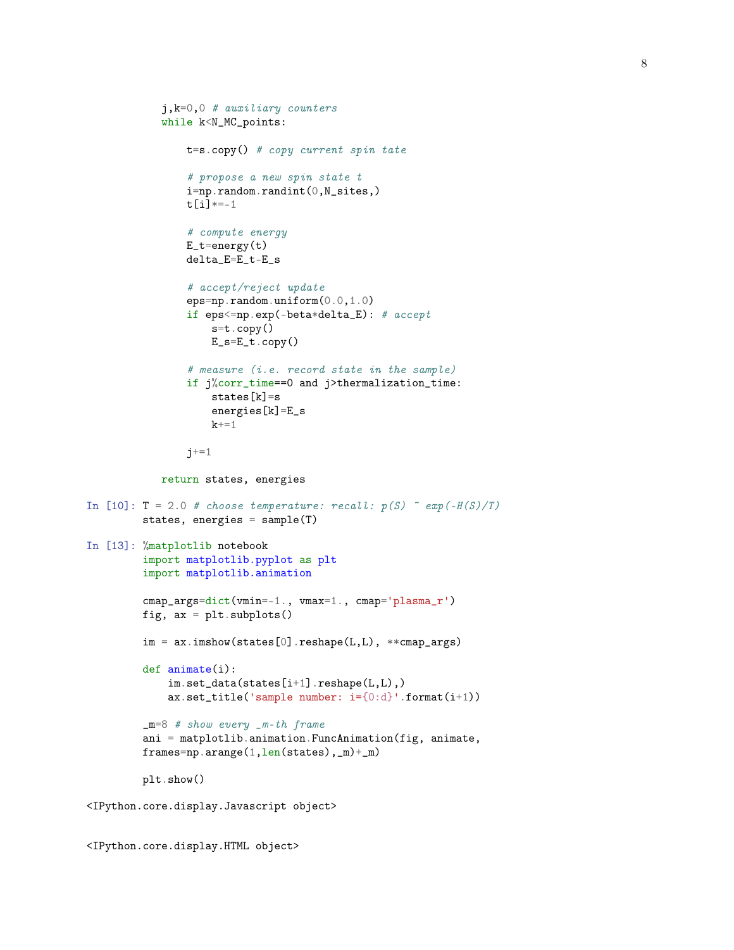```
j,k=0,0 # auxiliary counters
            while k<N_MC_points:
                t=s.copy() # copy current spin tate
                # propose a new spin state t
                i=np.random.randint(0,N_sites,)
                t[i]*=-1# compute energy
                E_t = energy(t)delta_E=E_t-E_s
                # accept/reject update
                eps=np.random.uniform(0.0,1.0)
                if eps<=np.exp(-beta*delta_E): # accept
                    s=t.copy()
                    E_s=E_t.copy()# measure (i.e. record state in the sample)
                if j%corr_time==0 and j>thermalization_time:
                    states[k]=s
                    energies[k]=E_s
                    k+1j+=1return states, energies
In [10]: T = 2.0 # choose temperature: recall: p(S) \tilde{=} exp(-H(S)/T)
         states, energies = sample(T)
In [13]: %matplotlib notebook
         import matplotlib.pyplot as plt
         import matplotlib.animation
         cmap_args=dict(vmin=-1., vmax=1., cmap='plasma_r')
         fig, ax = plt.subplots()im = ax.inshow(states[0].reshape(L,L), **camp_args)def animate(i):
             \verb|im.set_data(states[i+1].reshape(L,L)|)ax.set_title('sample number: i={0:d}'.format(i+1))
         m=8 # show every m-th frame
         ani = matplotlib.animation.FuncAnimation(fig, animate,
         frames=np.arange(1,len(states),_m)+_m)
         plt.show()
<IPython.core.display.Javascript object>
```
<IPython.core.display.HTML object>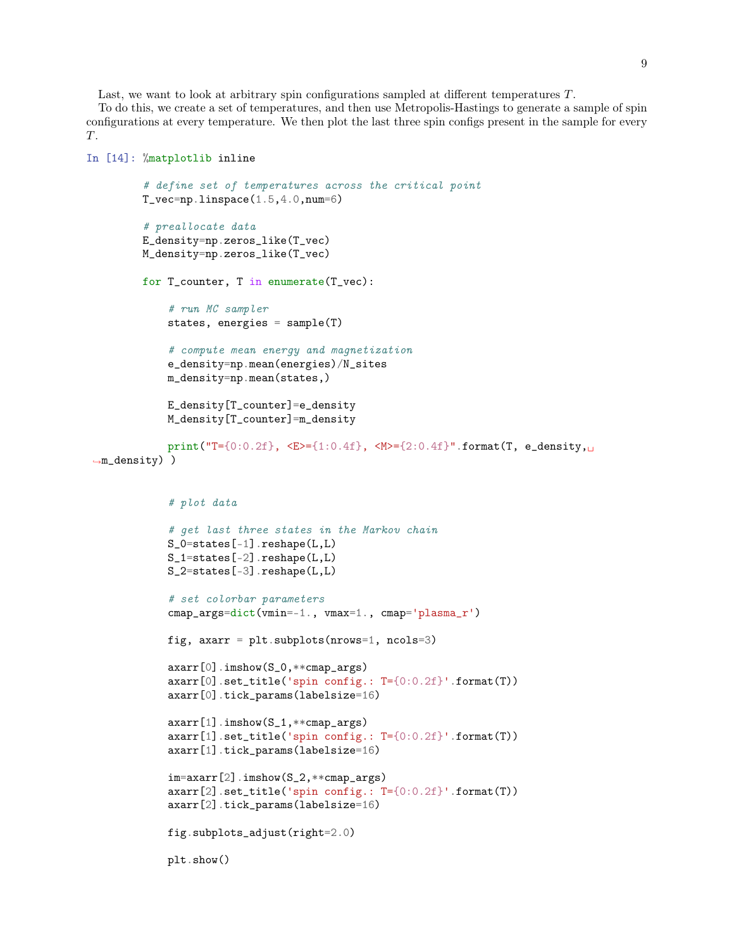Last, we want to look at arbitrary spin configurations sampled at different temperatures T.

To do this, we create a set of temperatures, and then use Metropolis-Hastings to generate a sample of spin configurations at every temperature. We then plot the last three spin configs present in the sample for every T.

```
In [14]: %matplotlib inline
         # define set of temperatures across the critical point
         T_{\texttt{v}ec=np.linspace}(1.5, 4.0, num=6)# preallocate data
         E_density=np.zeros_like(T_vec)
         M_density=np.zeros_like(T_vec)
         for T_counter, T in enumerate(T_vec):
             # run MC sampler
             states, energies = sample(T)
             # compute mean energy and magnetization
             e_density=np.mean(energies)/N_sites
             m_density=np.mean(states,)
             E_density[T_counter]=e_density
             M_density[T_counter]=m_density
             print("T={0:0.2f}, <E>={1:0.4f}, <M>={2:0.4f}".format(T, e_density,
 ,→m_density) )
             # plot data
             # get last three states in the Markov chain
             S_0=states[-1].reshape(L,L)
             S_1=states[-2].reshape(L,L)
             S_2=states[-3].reshape(L,L)
             # set colorbar parameters
             cmap_args=dict(vmin=-1., vmax=1., cmap='plasma_r')
             fig, axarr = plt.subplots(nrows=1, ncols=3)
             axarr[0].imshow(S_0,**cmap_args)
             axarr[0].set_title('spin config.: T={0:0.2f}'.format(T))
             axarr[0].tick_params(labelsize=16)
             axarr[1].imshow(S_1,**cmap_args)
             axarr[1].set_title('spin config.: T={0:0.2f}'.format(T))
             axarr[1].tick_params(labelsize=16)
             im=axarr[2].imshow(S_2,**cmap_args)
             axarr[2].set_title('spin config.: T={0:0.2f}'.format(T))
             axarr[2].tick_params(labelsize=16)
             fig.subplots_adjust(right=2.0)
             plt.show()
```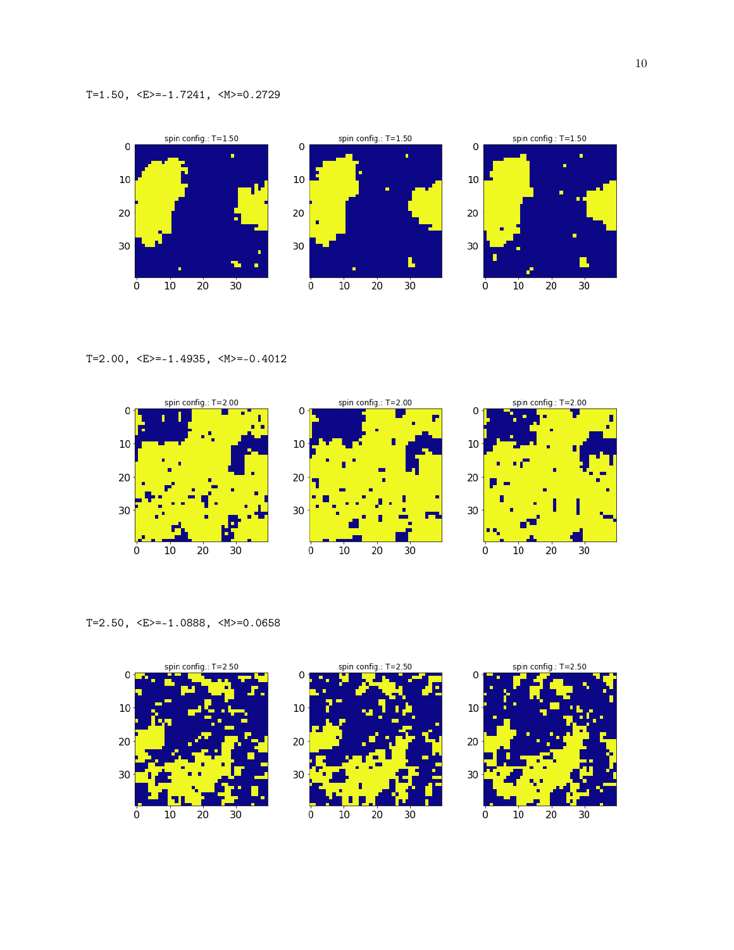

T=2.00,  $\langle E \rangle = -1.4935$ ,  $\langle M \rangle = -0.4012$ 



T=2.50, <E>=-1.0888, <M>=0.0658